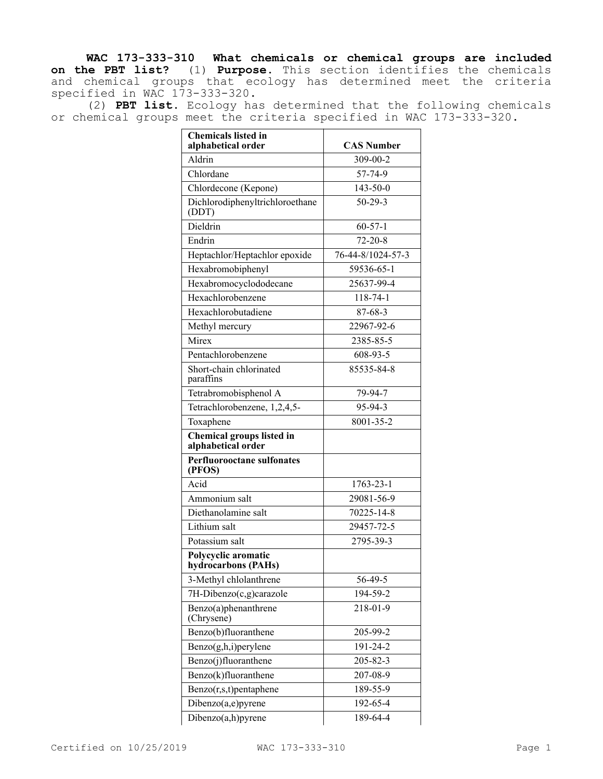**WAC 173-333-310 What chemicals or chemical groups are included on the PBT list?** (1) **Purpose.** This section identifies the chemicals and chemical groups that ecology has determined meet the criteria specified in WAC 173-333-320.

(2) **PBT list.** Ecology has determined that the following chemicals or chemical groups meet the criteria specified in WAC 173-333-320.

| <b>Chemicals listed in</b><br>alphabetical order | <b>CAS Number</b> |
|--------------------------------------------------|-------------------|
| Aldrin                                           | 309-00-2          |
| Chlordane                                        | 57-74-9           |
| Chlordecone (Kepone)                             | $143 - 50 - 0$    |
| Dichlorodiphenyltrichloroethane<br>(DDT)         | $50 - 29 - 3$     |
| Dieldrin                                         | $60 - 57 - 1$     |
| Endrin                                           | $72 - 20 - 8$     |
| Heptachlor/Heptachlor epoxide                    | 76-44-8/1024-57-3 |
| Hexabromobiphenyl                                | 59536-65-1        |
| Hexabromocyclododecane                           | 25637-99-4        |
| Hexachlorobenzene                                | $118 - 74 - 1$    |
| Hexachlorobutadiene                              | 87-68-3           |
| Methyl mercury                                   | 22967-92-6        |
| Mirex                                            | 2385-85-5         |
| Pentachlorobenzene                               | 608-93-5          |
| Short-chain chlorinated<br>paraffins             | 85535-84-8        |
| Tetrabromobisphenol A                            | 79-94-7           |
| Tetrachlorobenzene, 1,2,4,5-                     | 95-94-3           |
| Toxaphene                                        | 8001-35-2         |
| Chemical groups listed in<br>alphabetical order  |                   |
| <b>Perfluorooctane sulfonates</b><br>(PFOS)      |                   |
| Acid                                             | 1763-23-1         |
| Ammonium salt                                    | 29081-56-9        |
| Diethanolamine salt                              | 70225-14-8        |
| Lithium salt                                     | 29457-72-5        |
| Potassium salt                                   | 2795-39-3         |
| Polycyclic aromatic<br>hydrocarbons (PAHs)       |                   |
| 3-Methyl chlolanthrene                           | 56-49-5           |
| 7H-Dibenzo(c,g)carazole                          | 194-59-2          |
| Benzo(a)phenanthrene<br>(Chrysene)               | 218-01-9          |
| Benzo(b)fluoranthene                             | 205-99-2          |
| Benzo(g,h,i)perylene                             | 191-24-2          |
| Benzo(j)fluoranthene                             | 205-82-3          |
| Benzo(k)fluoranthene                             | 207-08-9          |
| $Benzo(r,s,t)$ pentaphene                        | 189-55-9          |
| Dibenzo(a,e)pyrene                               | 192-65-4          |
| Dibenzo(a,h)pyrene                               | 189-64-4          |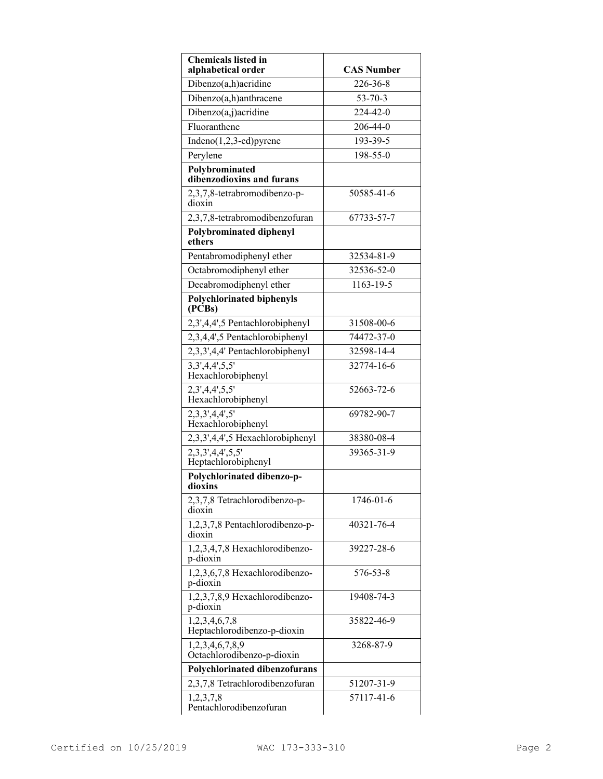| <b>Chemicals listed in</b><br>alphabetical order | <b>CAS Number</b> |
|--------------------------------------------------|-------------------|
| Dibenzo(a,h)acridine                             | 226-36-8          |
| Dibenzo(a,h)anthracene                           | $53 - 70 - 3$     |
| Dibenzo(a,j)acridine                             | 224-42-0          |
| Fluoranthene                                     | 206-44-0          |
| $Indeno(1,2,3-cd)pyrene$                         | 193-39-5          |
| Perylene                                         | 198-55-0          |
| Polybrominated<br>dibenzodioxins and furans      |                   |
| 2,3,7,8-tetrabromodibenzo-p-<br>dioxin           | 50585-41-6        |
| 2,3,7,8-tetrabromodibenzofuran                   | 67733-57-7        |
| <b>Polybrominated diphenyl</b><br>ethers         |                   |
| Pentabromodiphenyl ether                         | 32534-81-9        |
| Octabromodiphenyl ether                          | 32536-52-0        |
| Decabromodiphenyl ether                          | 1163-19-5         |
| <b>Polychlorinated biphenyls</b><br>(PCBs)       |                   |
| 2,3',4,4',5 Pentachlorobiphenyl                  | 31508-00-6        |
| 2,3,4,4',5 Pentachlorobiphenyl                   | 74472-37-0        |
| 2,3,3',4,4' Pentachlorobiphenyl                  | 32598-14-4        |
| 3, 3, 4, 4', 5, 5'<br>Hexachlorobiphenyl         | 32774-16-6        |
| 2,3',4,4',5,5'<br>Hexachlorobiphenyl             | 52663-72-6        |
| 2,3,3',4,4',5'<br>Hexachlorobiphenyl             | 69782-90-7        |
| 2,3,3',4,4',5 Hexachlorobiphenyl                 | 38380-08-4        |
| 2,3,3',4,4',5,5'<br>Heptachlorobiphenyl          | 39365-31-9        |
| Polychlorinated dibenzo-p-<br>dioxins            |                   |
| 2,3,7,8 Tetrachlorodibenzo-p-<br>dioxin          | 1746-01-6         |
| 1,2,3,7,8 Pentachlorodibenzo-p-<br>dioxin        | 40321-76-4        |
| 1,2,3,4,7,8 Hexachlorodibenzo-<br>p-dioxin       | 39227-28-6        |
| 1,2,3,6,7,8 Hexachlorodibenzo-<br>p-dioxin       | 576-53-8          |
| 1,2,3,7,8,9 Hexachlorodibenzo-<br>p-dioxin       | 19408-74-3        |
| 1,2,3,4,6,7,8<br>Heptachlorodibenzo-p-dioxin     | 35822-46-9        |
| 1,2,3,4,6,7,8,9<br>Octachlorodibenzo-p-dioxin    | 3268-87-9         |
| Polychlorinated dibenzofurans                    |                   |
| 2,3,7,8 Tetrachlorodibenzofuran                  | 51207-31-9        |
| 1,2,3,7,8<br>Pentachlorodibenzofuran             | 57117-41-6        |